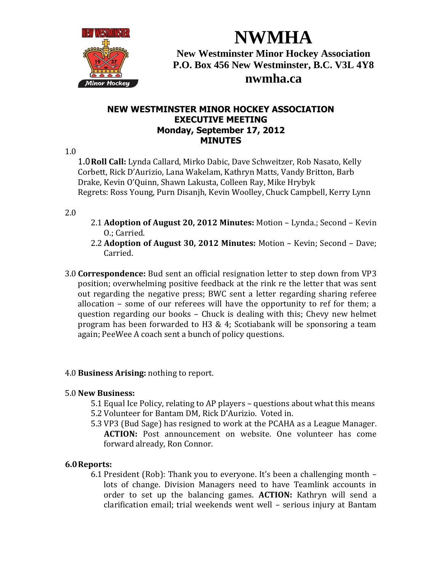

**NWMHA New Westminster Minor Hockey Association P.O. Box 456 New Westminster, B.C. V3L 4Y8 nwmha.ca**

# **NEW WESTMINSTER MINOR HOCKEY ASSOCIATION EXECUTIVE MEETING Monday, September 17, 2012 MINUTES**

### 1.0

1.0**Roll Call:** Lynda Callard, Mirko Dabic, Dave Schweitzer, Rob Nasato, Kelly Corbett, Rick D'Aurizio, Lana Wakelam, Kathryn Matts, Vandy Britton, Barb Drake, Kevin O'Quinn, Shawn Lakusta, Colleen Ray, Mike Hrybyk Regrets: Ross Young, Purn Disanjh, Kevin Woolley, Chuck Campbell, Kerry Lynn

### 2.0

- 2.1 **Adoption of August 20, 2012 Minutes:** Motion Lynda.; Second Kevin O.; Carried.
- 2.2 **Adoption of August 30, 2012 Minutes:** Motion Kevin; Second Dave; Carried.
- 3.0 **Correspondence:** Bud sent an official resignation letter to step down from VP3 position; overwhelming positive feedback at the rink re the letter that was sent out regarding the negative press; BWC sent a letter regarding sharing referee allocation – some of our referees will have the opportunity to ref for them; a question regarding our books – Chuck is dealing with this; Chevy new helmet program has been forwarded to H3 & 4; Scotiabank will be sponsoring a team again; PeeWee A coach sent a bunch of policy questions.

## 4.0 **Business Arising:** nothing to report.

### 5.0 **New Business:**

- 5.1 Equal Ice Policy, relating to AP players questions about what this means 5.2 Volunteer for Bantam DM, Rick D'Aurizio. Voted in.
- 5.3 VP3 (Bud Sage) has resigned to work at the PCAHA as a League Manager. **ACTION:** Post announcement on website. One volunteer has come forward already, Ron Connor.

### **6.0Reports:**

6.1 President (Rob): Thank you to everyone. It's been a challenging month – lots of change. Division Managers need to have Teamlink accounts in order to set up the balancing games. **ACTION:** Kathryn will send a clarification email; trial weekends went well – serious injury at Bantam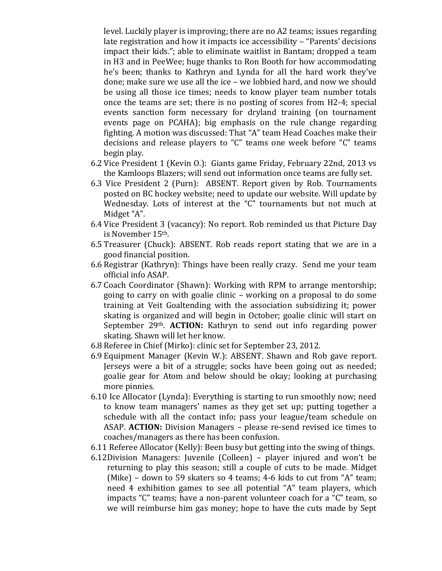level. Luckily player is improving; there are no A2 teams; issues regarding late registration and how it impacts ice accessibility – "Parents' decisions impact their kids."; able to eliminate waitlist in Bantam; dropped a team in H3 and in PeeWee; huge thanks to Ron Booth for how accommodating he's been; thanks to Kathryn and Lynda for all the hard work they've done; make sure we use all the ice – we lobbied hard, and now we should be using all those ice times; needs to know player team number totals once the teams are set; there is no posting of scores from H2-4; special events sanction form necessary for dryland training (on tournament events page on PCAHA); big emphasis on the rule change regarding fighting. A motion was discussed: That "A" team Head Coaches make their decisions and release players to "C" teams one week before "C" teams begin play.

- 6.2 Vice President 1 (Kevin O.): Giants game Friday, February 22nd, 2013 vs the Kamloops Blazers; will send out information once teams are fully set.
- 6.3 Vice President 2 (Purn): ABSENT. Report given by Rob. Tournaments posted on BC hockey website; need to update our website. Will update by Wednesday. Lots of interest at the "C" tournaments but not much at Midget "A".
- 6.4 Vice President 3 (vacancy): No report. Rob reminded us that Picture Day is November 15th.
- 6.5 Treasurer (Chuck): ABSENT. Rob reads report stating that we are in a good financial position.
- 6.6 Registrar (Kathryn): Things have been really crazy. Send me your team official info ASAP.
- 6.7 Coach Coordinator (Shawn): Working with RPM to arrange mentorship; going to carry on with goalie clinic – working on a proposal to do some training at Veit Goaltending with the association subsidizing it; power skating is organized and will begin in October; goalie clinic will start on September 29th. **ACTION:** Kathryn to send out info regarding power skating. Shawn will let her know.
- 6.8 Referee in Chief (Mirko): clinic set for September 23, 2012.
- 6.9 Equipment Manager (Kevin W.): ABSENT. Shawn and Rob gave report. Jerseys were a bit of a struggle; socks have been going out as needed; goalie gear for Atom and below should be okay; looking at purchasing more pinnies.
- 6.10 Ice Allocator (Lynda): Everything is starting to run smoothly now; need to know team managers' names as they get set up; putting together a schedule with all the contact info; pass your league/team schedule on ASAP. **ACTION:** Division Managers – please re-send revised ice times to coaches/managers as there has been confusion.
- 6.11 Referee Allocator (Kelly): Been busy but getting into the swing of things.
- 6.12Division Managers: Juvenile (Colleen) player injured and won't be returning to play this season; still a couple of cuts to be made. Midget (Mike) – down to 59 skaters so 4 teams; 4-6 kids to cut from "A" team; need 4 exhibition games to see all potential "A" team players, which impacts "C" teams; have a non-parent volunteer coach for a "C" team, so we will reimburse him gas money; hope to have the cuts made by Sept